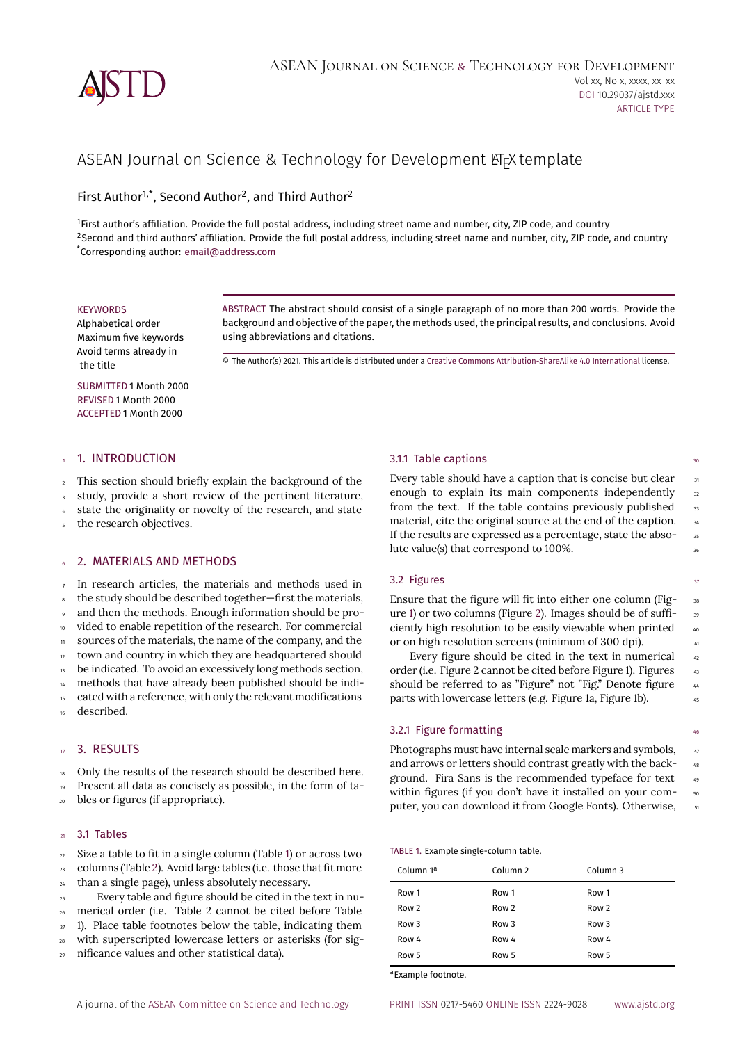

# ASEAN Journal on Science & Technology for Development LT<sub>E</sub>X template

First Author<sup>1,\*</sup>, Second Author<sup>2</sup>, and Third Author<sup>2</sup>

<sup>1</sup>First author's affiliation. Provide the full postal address, including street name and number, city, ZIP code, and country <sup>2</sup>Second and third authors' affiliation. Provide the full postal address, including street name and number, city, ZIP code, and country \*Corresponding author: [email@address.com](mailto:email@address.com)

#### **KEYWORDS**

Alphabetical order Maximum five keywords Avoid terms already in the title

ABSTRACT The abstract should consist of a single paragraph of no more than 200 words. Provide the background and objective of the paper, the methods used, the principal results, and conclusions. Avoid using abbreviations and citations.

© The Author(s) 2021. This article is distributed under a [Creative Commons Attribution-ShareAlike 4.0 International](https://creativecommons.org/licenses/by-sa/4.0/) license.

SUBMITTED 1 Month 2000 REVISED 1 Month 2000 ACCEPTED 1 Month 2000

#### 1. INTRODUCTION

<sup>2</sup> This section should briefly explain the background of the

study, provide a short review of the pertinent literature,

state the originality or novelty of the research, and state

the research objectives.

# 2. MATERIALS AND METHODS

 In research articles, the materials and methods used in <sup>8</sup> the study should be described together—first the materials, and then the methods. Enough information should be pro- vided to enable repetition of the research. For commercial sources of the materials, the name of the company, and the town and country in which they are headquartered should 13 be indicated. To avoid an excessively long methods section, methods that have already been published should be indicated with a reference, with only the relevant modifications

described.

## <sup>17</sup> 3. RESULTS

<sup>18</sup> Only the results of the research should be described here.

<sup>19</sup> Present all data as concisely as possible, in the form of ta-

<sup>20</sup> bles or figures (if appropriate).

# $21$  3.1 Tables

 $22$  Size a table to fit in a single column (Table [1\)](#page-0-0) or across two <sup>23</sup> columns (Table [2](#page-1-0)). Avoid large tables (i.e. those that fit more

<sup>24</sup> than a single page), unless absolutely necessary.

<sup>25</sup> Every table and figure should be cited in the text in nu-

<sup>26</sup> merical order (i.e. Table 2 cannot be cited before Table

 $27$  1). Place table footnotes below the table, indicating them

<sup>28</sup> with superscripted lowercase letters or asterisks (for sig-

<sup>29</sup> nificance values and other statistical data).

#### $3.1.1$  Table captions  $3.1.1$  Table captions

Every table should have a caption that is concise but clear  $\frac{3}{11}$ enough to explain its main components independently 32 from the text. If the table contains previously published  $33$ material, cite the original source at the end of the caption. 34 If the results are expressed as a percentage, state the abso-<br>
35 lute value(s) that correspond to 100%.

#### $3.2$  Figures  $37$

Ensure that the figure will fit into either one column (Fig- 38 ure [1](#page-1-1)) or two columns (Figure [2](#page-1-2)). Images should be of sufficiently high resolution to be easily viewable when printed  $40^{\circ}$ or on high resolution screens (minimum of 300 dpi).

Every figure should be cited in the text in numerical  $\frac{42}{42}$ order (i.e. Figure 2 cannot be cited before Figure 1). Figures 43 should be referred to as "Figure" not "Fig." Denote figure  $44$ parts with lowercase letters (e.g. Figure 1a, Figure 1b). <sup>45</sup>

#### 3.2.1 Figure formatting 46

Photographs must have internal scale markers and symbols,  $47$ and arrows or letters should contrast greatly with the background. Fira Sans is the recommended typeface for text  $49$ within figures (if you don't have it installed on your computer, you can download it from Google Fonts). Otherwise,  $\frac{1}{10}$ 

#### <span id="page-0-0"></span>TABLE 1. Example single-column table.

| Column 1ª | Column <sub>2</sub> | Column <sub>3</sub> |
|-----------|---------------------|---------------------|
| Row 1     | Row 1               | Row 1               |
| Row 2     | Row 2               | Row <sub>2</sub>    |
| Row 3     | Row 3               | Row 3               |
| Row 4     | Row 4               | Row 4               |
| Row 5     | Row 5               | Row 5               |

a Example footnote.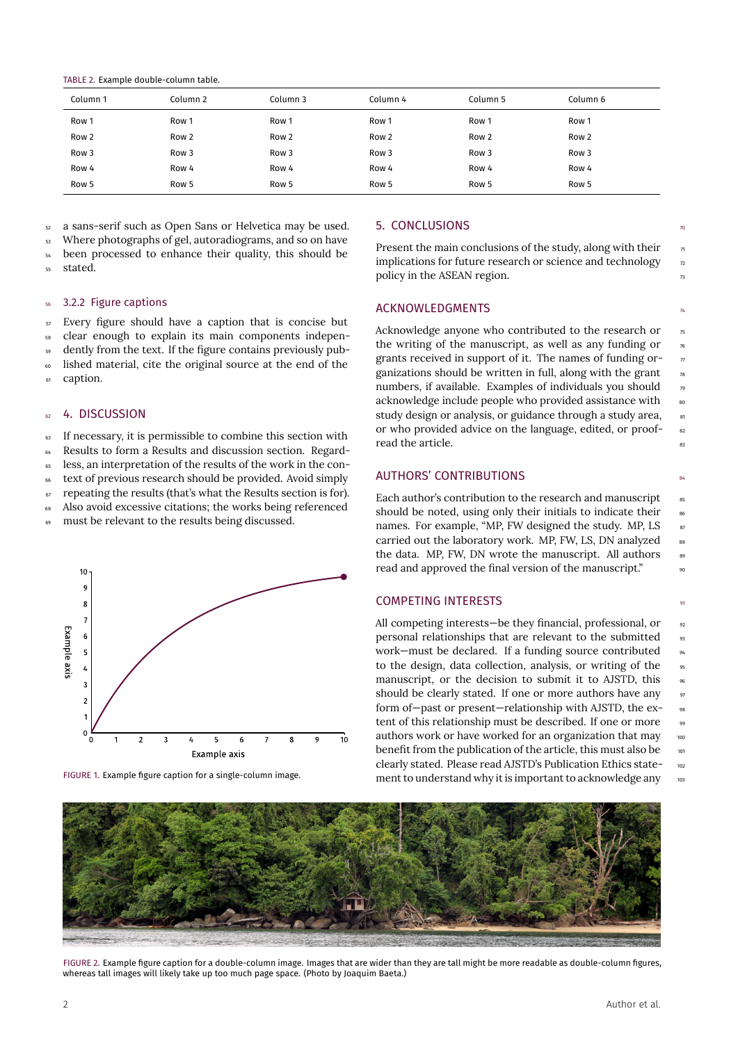<span id="page-1-0"></span>

|  |  | TABLE 2. Example double-column table. |  |
|--|--|---------------------------------------|--|
|--|--|---------------------------------------|--|

| Column 1 | Column 2         | Column 3         | Column 4 | Column 5         | Column 6         |
|----------|------------------|------------------|----------|------------------|------------------|
| Row 1    | Row 1            | Row 1            | Row 1    | Row 1            | Row 1            |
| Row 2    | Row <sub>2</sub> | Row <sub>2</sub> | Row 2    | Row 2            | Row <sub>2</sub> |
| Row 3    | Row <sub>3</sub> | Row <sub>3</sub> | Row 3    | Row <sub>3</sub> | Row <sub>3</sub> |
| Row 4    | Row 4            | Row 4            | Row 4    | Row 4            | Row 4            |
| Row 5    | Row 5            | Row 5            | Row 5    | Row 5            | Row 5            |

<sup>52</sup> a sans-serif such as Open Sans or Helvetica may be used.

Where photographs of gel, autoradiograms, and so on have

been processed to enhance their quality, this should be stated.

#### 56 3.2.2 Figure captions

Every figure should have a caption that is concise but clear enough to explain its main components independently from the text. If the figure contains previously published material, cite the original source at the end of the caption.

## 4. DISCUSSION

If necessary, it is permissible to combine this section with Results to form a Results and discussion section. Regardless, an interpretation of the results of the work in the con-

text of previous research should be provided. Avoid simply

 $\sigma$  repeating the results (that's what the Results section is for).

<sup>68</sup> Also avoid excessive citations; the works being referenced

<sup>69</sup> must be relevant to the results being discussed.

<span id="page-1-1"></span>

FIGURE 1. Example figure caption for a single-column image.

## 5. CONCLUSIONS

Present the main conclusions of the study, along with their  $\eta$ implications for future research or science and technology  $\frac{1}{2}$ policy in the ASEAN region.

# **ACKNOWLEDGMENTS**

Acknowledge anyone who contributed to the research or  $\frac{1}{5}$ the writing of the manuscript, as well as any funding or  $\frac{1}{6}$ grants received in support of it. The names of funding or- $\eta$ ganizations should be written in full, along with the grant  $\frac{1}{8}$ numbers, if available. Examples of individuals you should  $\frac{1}{2}$ acknowledge include people who provided assistance with so study design or analysis, or guidance through a study area, study or who provided advice on the language, edited, or proofread the article.

#### AUTHORS' CONTRIBUTIONS AUTHORS' SAND

Each author's contribution to the research and manuscript  $\frac{1}{85}$ should be noted, using only their initials to indicate their  $\frac{1}{86}$ names. For example, "MP, FW designed the study. MP, LS  $\qquad$  s7 carried out the laboratory work. MP, FW, LS, DN analyzed 88 the data. MP, FW, DN wrote the manuscript. All authors read and approved the final version of the manuscript."

#### **COMPETING INTERESTS**

All competing interests—be they financial, professional, or  $\frac{92}{2}$ personal relationships that are relevant to the submitted  $\qquad$  93 work—must be declared. If a funding source contributed <sup>94</sup> to the design, data collection, analysis, or writing of the 95 manuscript, or the decision to submit it to AJSTD, this  $\frac{1}{96}$ should be clearly stated. If one or more authors have any 97 form of-past or present-relationship with AJSTD, the extent of this relationship must be described. If one or more 99 authors work or have worked for an organization that may 100 benefit from the publication of the article, this must also be  $_{101}$ clearly stated. Please read AJSTD's Publication Ethics state- <sup>102</sup> ment to understand why it is important to acknowledge any  $103$ 

<span id="page-1-2"></span>

FIGURE 2. Example figure caption for a double-column image. Images that are wider than they are tall might be more readable as double-column figures, whereas tall images will likely take up too much page space. (Photo by Joaquim Baeta.)